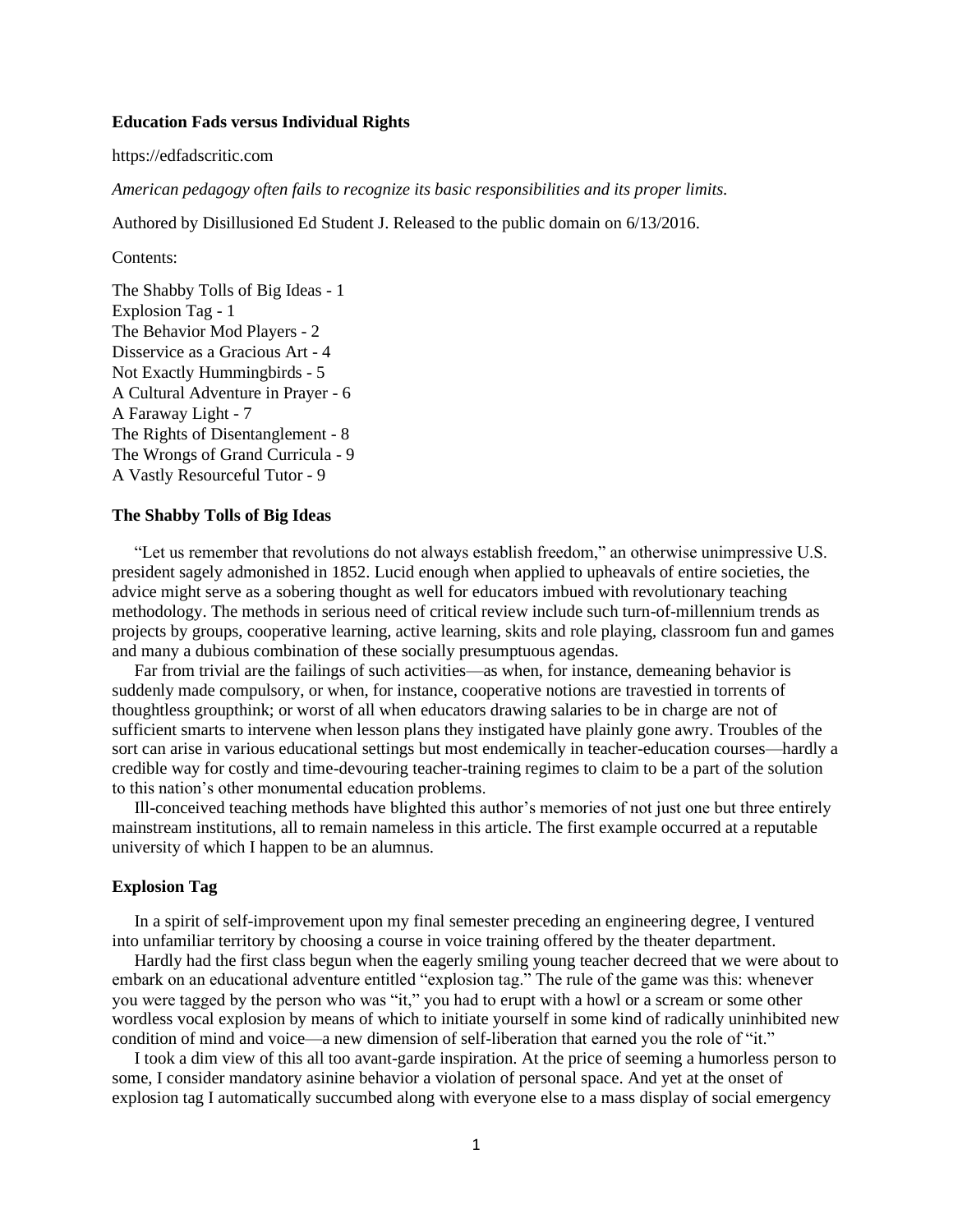### **Education Fads versus Individual Rights**

https://edfadscritic.com

*American pedagogy often fails to recognize its basic responsibilities and its proper limits.*

Authored by Disillusioned Ed Student J. Released to the public domain on 6/13/2016.

Contents:

The Shabby Tolls of Big Ideas - 1 Explosion Tag - 1 The Behavior Mod Players - 2 Disservice as a Gracious Art - 4 Not Exactly Hummingbirds - 5 A Cultural Adventure in Prayer - 6 A Faraway Light - 7 The Rights of Disentanglement - 8 The Wrongs of Grand Curricula - 9 A Vastly Resourceful Tutor - 9

## **The Shabby Tolls of Big Ideas**

"Let us remember that revolutions do not always establish freedom," an otherwise unimpressive U.S. president sagely admonished in 1852. Lucid enough when applied to upheavals of entire societies, the advice might serve as a sobering thought as well for educators imbued with revolutionary teaching methodology. The methods in serious need of critical review include such turn-of-millennium trends as projects by groups, cooperative learning, active learning, skits and role playing, classroom fun and games and many a dubious combination of these socially presumptuous agendas.

Far from trivial are the failings of such activities—as when, for instance, demeaning behavior is suddenly made compulsory, or when, for instance, cooperative notions are travestied in torrents of thoughtless groupthink; or worst of all when educators drawing salaries to be in charge are not of sufficient smarts to intervene when lesson plans they instigated have plainly gone awry. Troubles of the sort can arise in various educational settings but most endemically in teacher-education courses—hardly a credible way for costly and time-devouring teacher-training regimes to claim to be a part of the solution to this nation's other monumental education problems.

Ill-conceived teaching methods have blighted this author's memories of not just one but three entirely mainstream institutions, all to remain nameless in this article. The first example occurred at a reputable university of which I happen to be an alumnus.

#### **Explosion Tag**

In a spirit of self-improvement upon my final semester preceding an engineering degree, I ventured into unfamiliar territory by choosing a course in voice training offered by the theater department.

Hardly had the first class begun when the eagerly smiling young teacher decreed that we were about to embark on an educational adventure entitled "explosion tag." The rule of the game was this: whenever you were tagged by the person who was "it," you had to erupt with a howl or a scream or some other wordless vocal explosion by means of which to initiate yourself in some kind of radically uninhibited new condition of mind and voice—a new dimension of self-liberation that earned you the role of "it."

I took a dim view of this all too avant-garde inspiration. At the price of seeming a humorless person to some, I consider mandatory asinine behavior a violation of personal space. And yet at the onset of explosion tag I automatically succumbed along with everyone else to a mass display of social emergency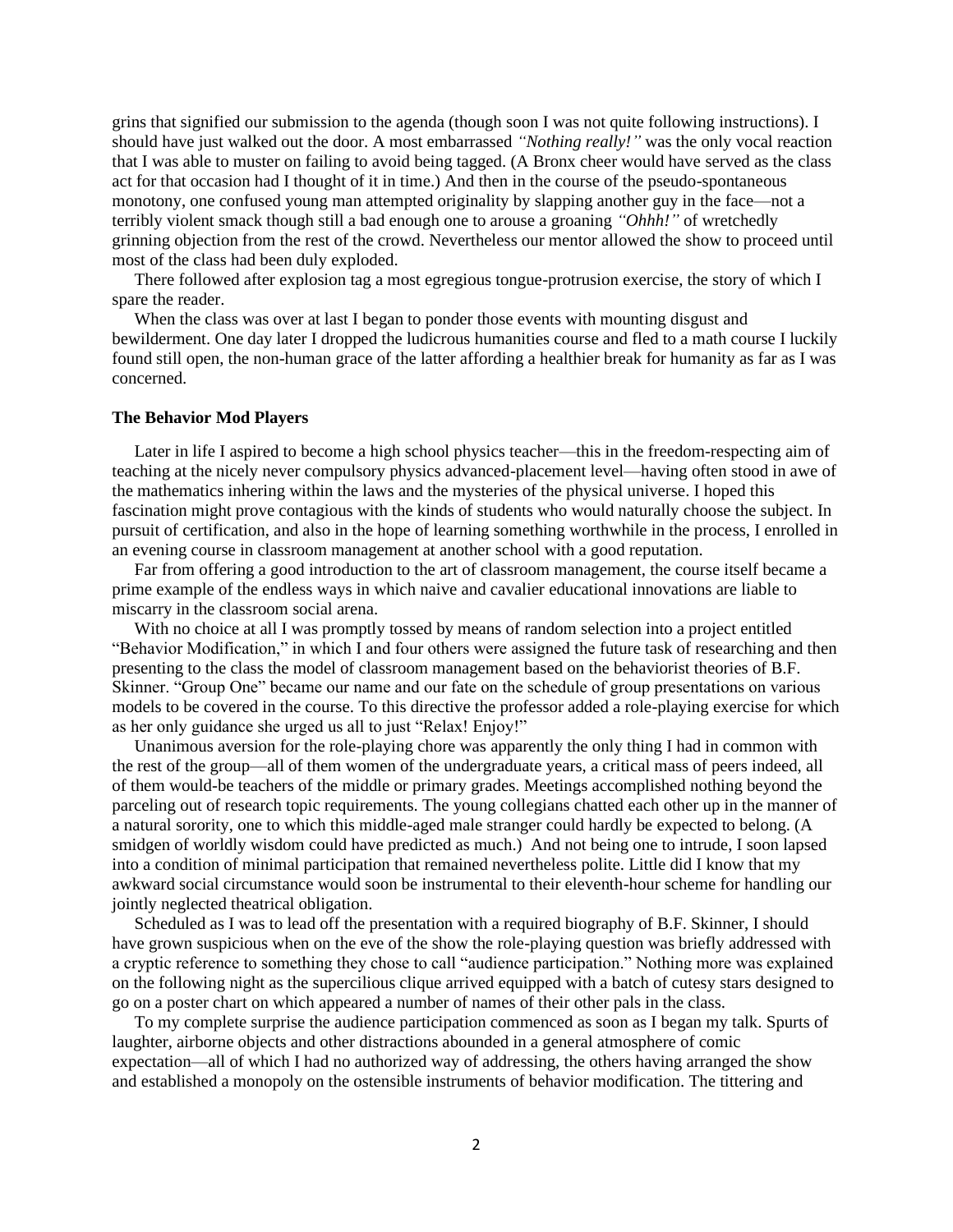grins that signified our submission to the agenda (though soon I was not quite following instructions). I should have just walked out the door. A most embarrassed *"Nothing really!"* was the only vocal reaction that I was able to muster on failing to avoid being tagged. (A Bronx cheer would have served as the class act for that occasion had I thought of it in time.) And then in the course of the pseudo-spontaneous monotony, one confused young man attempted originality by slapping another guy in the face—not a terribly violent smack though still a bad enough one to arouse a groaning *"Ohhh!"* of wretchedly grinning objection from the rest of the crowd. Nevertheless our mentor allowed the show to proceed until most of the class had been duly exploded.

There followed after explosion tag a most egregious tongue-protrusion exercise, the story of which I spare the reader.

When the class was over at last I began to ponder those events with mounting disgust and bewilderment. One day later I dropped the ludicrous humanities course and fled to a math course I luckily found still open, the non-human grace of the latter affording a healthier break for humanity as far as I was concerned.

### **The Behavior Mod Players**

Later in life I aspired to become a high school physics teacher—this in the freedom-respecting aim of teaching at the nicely never compulsory physics advanced-placement level—having often stood in awe of the mathematics inhering within the laws and the mysteries of the physical universe. I hoped this fascination might prove contagious with the kinds of students who would naturally choose the subject. In pursuit of certification, and also in the hope of learning something worthwhile in the process, I enrolled in an evening course in classroom management at another school with a good reputation.

Far from offering a good introduction to the art of classroom management, the course itself became a prime example of the endless ways in which naive and cavalier educational innovations are liable to miscarry in the classroom social arena.

With no choice at all I was promptly tossed by means of random selection into a project entitled "Behavior Modification," in which I and four others were assigned the future task of researching and then presenting to the class the model of classroom management based on the behaviorist theories of B.F. Skinner. "Group One" became our name and our fate on the schedule of group presentations on various models to be covered in the course. To this directive the professor added a role-playing exercise for which as her only guidance she urged us all to just "Relax! Enjoy!"

Unanimous aversion for the role-playing chore was apparently the only thing I had in common with the rest of the group—all of them women of the undergraduate years, a critical mass of peers indeed, all of them would-be teachers of the middle or primary grades. Meetings accomplished nothing beyond the parceling out of research topic requirements. The young collegians chatted each other up in the manner of a natural sorority, one to which this middle-aged male stranger could hardly be expected to belong. (A smidgen of worldly wisdom could have predicted as much.) And not being one to intrude, I soon lapsed into a condition of minimal participation that remained nevertheless polite. Little did I know that my awkward social circumstance would soon be instrumental to their eleventh-hour scheme for handling our jointly neglected theatrical obligation.

Scheduled as I was to lead off the presentation with a required biography of B.F. Skinner, I should have grown suspicious when on the eve of the show the role-playing question was briefly addressed with a cryptic reference to something they chose to call "audience participation." Nothing more was explained on the following night as the supercilious clique arrived equipped with a batch of cutesy stars designed to go on a poster chart on which appeared a number of names of their other pals in the class.

To my complete surprise the audience participation commenced as soon as I began my talk. Spurts of laughter, airborne objects and other distractions abounded in a general atmosphere of comic expectation—all of which I had no authorized way of addressing, the others having arranged the show and established a monopoly on the ostensible instruments of behavior modification. The tittering and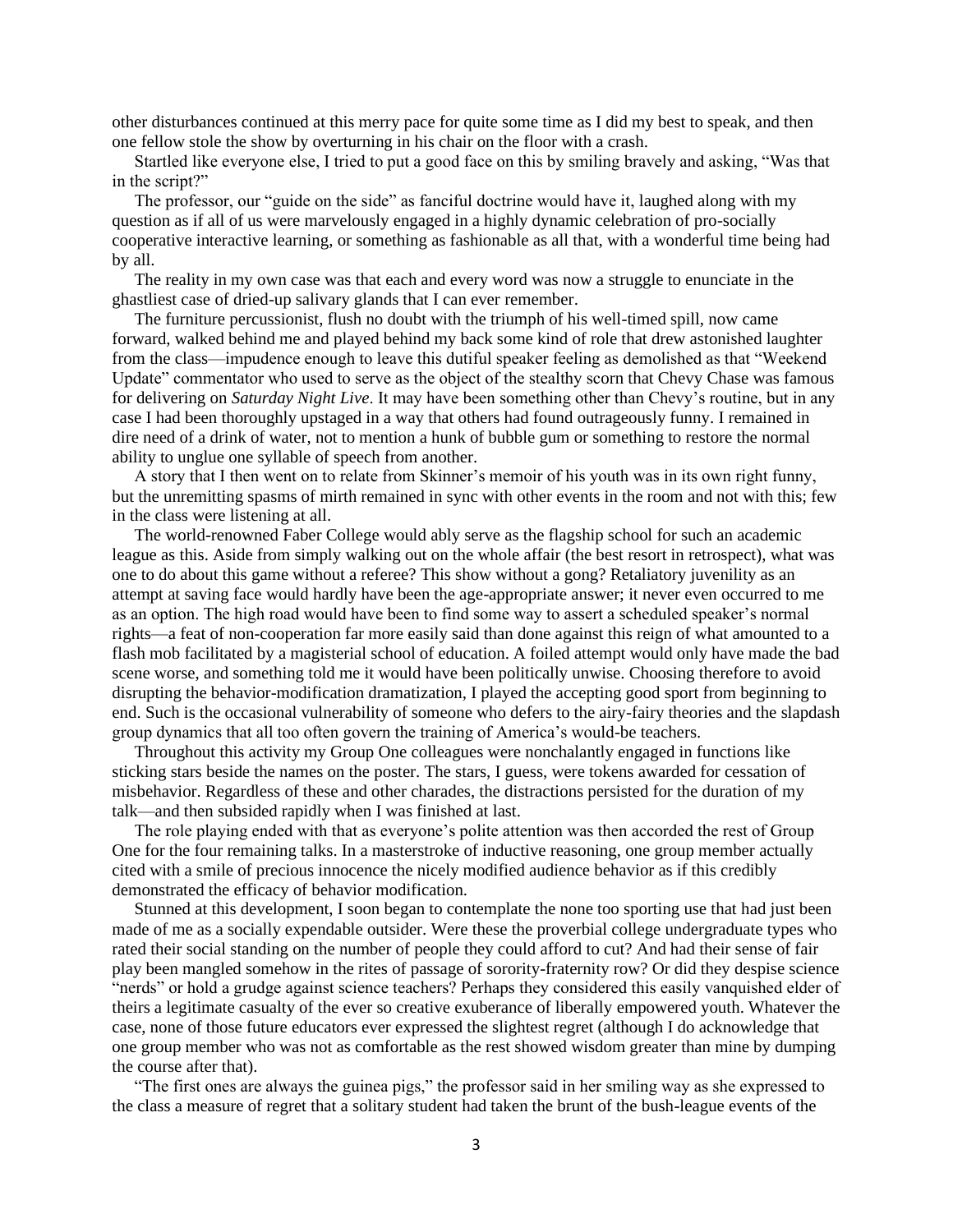other disturbances continued at this merry pace for quite some time as I did my best to speak, and then one fellow stole the show by overturning in his chair on the floor with a crash.

Startled like everyone else, I tried to put a good face on this by smiling bravely and asking, "Was that in the script?"

The professor, our "guide on the side" as fanciful doctrine would have it, laughed along with my question as if all of us were marvelously engaged in a highly dynamic celebration of pro-socially cooperative interactive learning, or something as fashionable as all that, with a wonderful time being had by all.

The reality in my own case was that each and every word was now a struggle to enunciate in the ghastliest case of dried-up salivary glands that I can ever remember.

The furniture percussionist, flush no doubt with the triumph of his well-timed spill, now came forward, walked behind me and played behind my back some kind of role that drew astonished laughter from the class—impudence enough to leave this dutiful speaker feeling as demolished as that "Weekend Update" commentator who used to serve as the object of the stealthy scorn that Chevy Chase was famous for delivering on *Saturday Night Live*. It may have been something other than Chevy's routine, but in any case I had been thoroughly upstaged in a way that others had found outrageously funny. I remained in dire need of a drink of water, not to mention a hunk of bubble gum or something to restore the normal ability to unglue one syllable of speech from another.

A story that I then went on to relate from Skinner's memoir of his youth was in its own right funny, but the unremitting spasms of mirth remained in sync with other events in the room and not with this; few in the class were listening at all.

The world-renowned Faber College would ably serve as the flagship school for such an academic league as this. Aside from simply walking out on the whole affair (the best resort in retrospect), what was one to do about this game without a referee? This show without a gong? Retaliatory juvenility as an attempt at saving face would hardly have been the age-appropriate answer; it never even occurred to me as an option. The high road would have been to find some way to assert a scheduled speaker's normal rights—a feat of non-cooperation far more easily said than done against this reign of what amounted to a flash mob facilitated by a magisterial school of education. A foiled attempt would only have made the bad scene worse, and something told me it would have been politically unwise. Choosing therefore to avoid disrupting the behavior-modification dramatization, I played the accepting good sport from beginning to end. Such is the occasional vulnerability of someone who defers to the airy-fairy theories and the slapdash group dynamics that all too often govern the training of America's would-be teachers.

Throughout this activity my Group One colleagues were nonchalantly engaged in functions like sticking stars beside the names on the poster. The stars, I guess, were tokens awarded for cessation of misbehavior. Regardless of these and other charades, the distractions persisted for the duration of my talk—and then subsided rapidly when I was finished at last.

The role playing ended with that as everyone's polite attention was then accorded the rest of Group One for the four remaining talks. In a masterstroke of inductive reasoning, one group member actually cited with a smile of precious innocence the nicely modified audience behavior as if this credibly demonstrated the efficacy of behavior modification.

Stunned at this development, I soon began to contemplate the none too sporting use that had just been made of me as a socially expendable outsider. Were these the proverbial college undergraduate types who rated their social standing on the number of people they could afford to cut? And had their sense of fair play been mangled somehow in the rites of passage of sorority-fraternity row? Or did they despise science "nerds" or hold a grudge against science teachers? Perhaps they considered this easily vanquished elder of theirs a legitimate casualty of the ever so creative exuberance of liberally empowered youth. Whatever the case, none of those future educators ever expressed the slightest regret (although I do acknowledge that one group member who was not as comfortable as the rest showed wisdom greater than mine by dumping the course after that).

"The first ones are always the guinea pigs," the professor said in her smiling way as she expressed to the class a measure of regret that a solitary student had taken the brunt of the bush-league events of the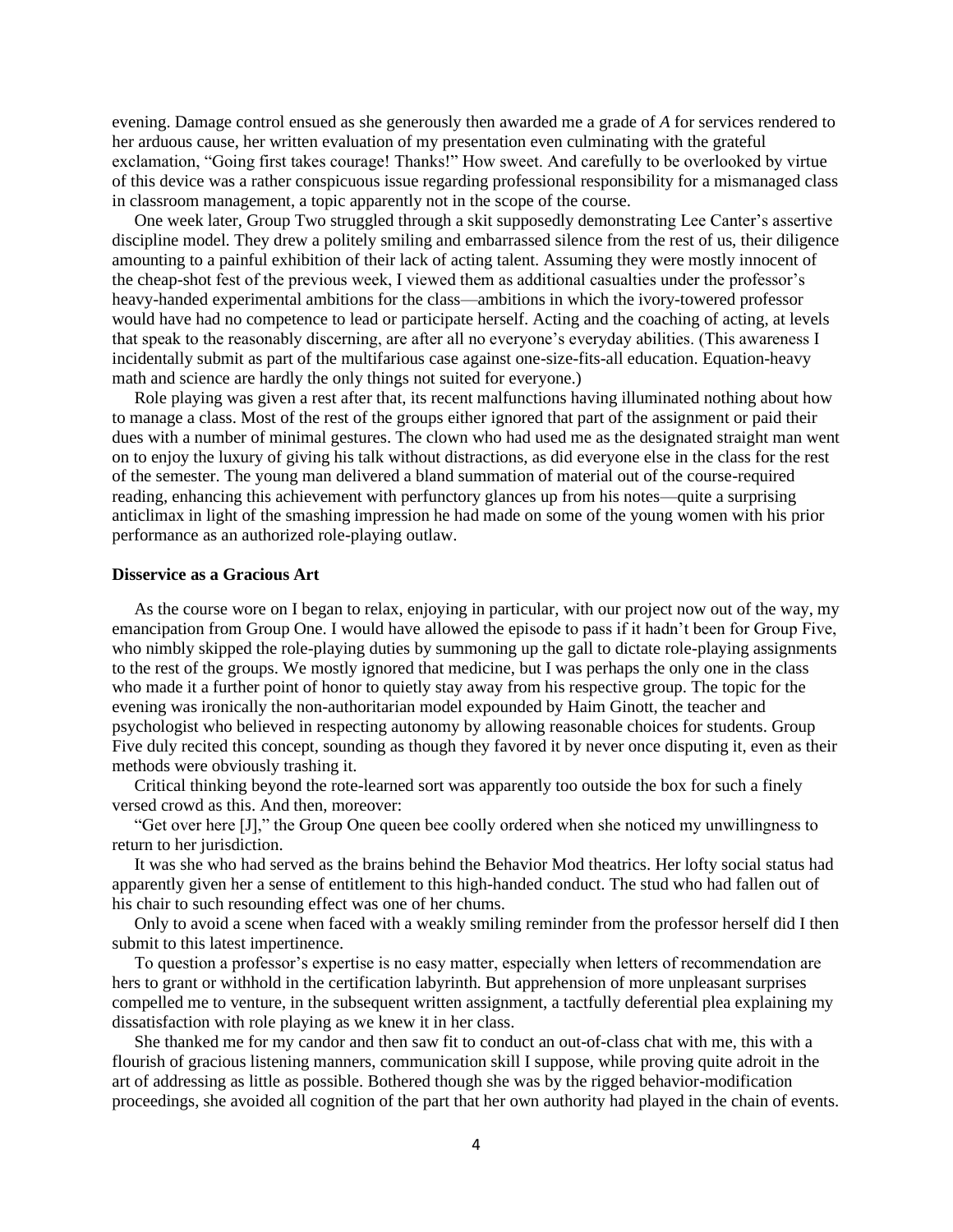evening. Damage control ensued as she generously then awarded me a grade of *A* for services rendered to her arduous cause, her written evaluation of my presentation even culminating with the grateful exclamation, "Going first takes courage! Thanks!" How sweet. And carefully to be overlooked by virtue of this device was a rather conspicuous issue regarding professional responsibility for a mismanaged class in classroom management, a topic apparently not in the scope of the course.

One week later, Group Two struggled through a skit supposedly demonstrating Lee Canter's assertive discipline model. They drew a politely smiling and embarrassed silence from the rest of us, their diligence amounting to a painful exhibition of their lack of acting talent. Assuming they were mostly innocent of the cheap-shot fest of the previous week, I viewed them as additional casualties under the professor's heavy-handed experimental ambitions for the class—ambitions in which the ivory-towered professor would have had no competence to lead or participate herself. Acting and the coaching of acting, at levels that speak to the reasonably discerning, are after all no everyone's everyday abilities. (This awareness I incidentally submit as part of the multifarious case against one-size-fits-all education. Equation-heavy math and science are hardly the only things not suited for everyone.)

Role playing was given a rest after that, its recent malfunctions having illuminated nothing about how to manage a class. Most of the rest of the groups either ignored that part of the assignment or paid their dues with a number of minimal gestures. The clown who had used me as the designated straight man went on to enjoy the luxury of giving his talk without distractions, as did everyone else in the class for the rest of the semester. The young man delivered a bland summation of material out of the course-required reading, enhancing this achievement with perfunctory glances up from his notes—quite a surprising anticlimax in light of the smashing impression he had made on some of the young women with his prior performance as an authorized role-playing outlaw.

#### **Disservice as a Gracious Art**

As the course wore on I began to relax, enjoying in particular, with our project now out of the way, my emancipation from Group One. I would have allowed the episode to pass if it hadn't been for Group Five, who nimbly skipped the role-playing duties by summoning up the gall to dictate role-playing assignments to the rest of the groups. We mostly ignored that medicine, but I was perhaps the only one in the class who made it a further point of honor to quietly stay away from his respective group. The topic for the evening was ironically the non-authoritarian model expounded by Haim Ginott, the teacher and psychologist who believed in respecting autonomy by allowing reasonable choices for students. Group Five duly recited this concept, sounding as though they favored it by never once disputing it, even as their methods were obviously trashing it.

Critical thinking beyond the rote-learned sort was apparently too outside the box for such a finely versed crowd as this. And then, moreover:

"Get over here [J]," the Group One queen bee coolly ordered when she noticed my unwillingness to return to her jurisdiction.

It was she who had served as the brains behind the Behavior Mod theatrics. Her lofty social status had apparently given her a sense of entitlement to this high-handed conduct. The stud who had fallen out of his chair to such resounding effect was one of her chums.

Only to avoid a scene when faced with a weakly smiling reminder from the professor herself did I then submit to this latest impertinence.

To question a professor's expertise is no easy matter, especially when letters of recommendation are hers to grant or withhold in the certification labyrinth. But apprehension of more unpleasant surprises compelled me to venture, in the subsequent written assignment, a tactfully deferential plea explaining my dissatisfaction with role playing as we knew it in her class.

She thanked me for my candor and then saw fit to conduct an out-of-class chat with me, this with a flourish of gracious listening manners, communication skill I suppose, while proving quite adroit in the art of addressing as little as possible. Bothered though she was by the rigged behavior-modification proceedings, she avoided all cognition of the part that her own authority had played in the chain of events.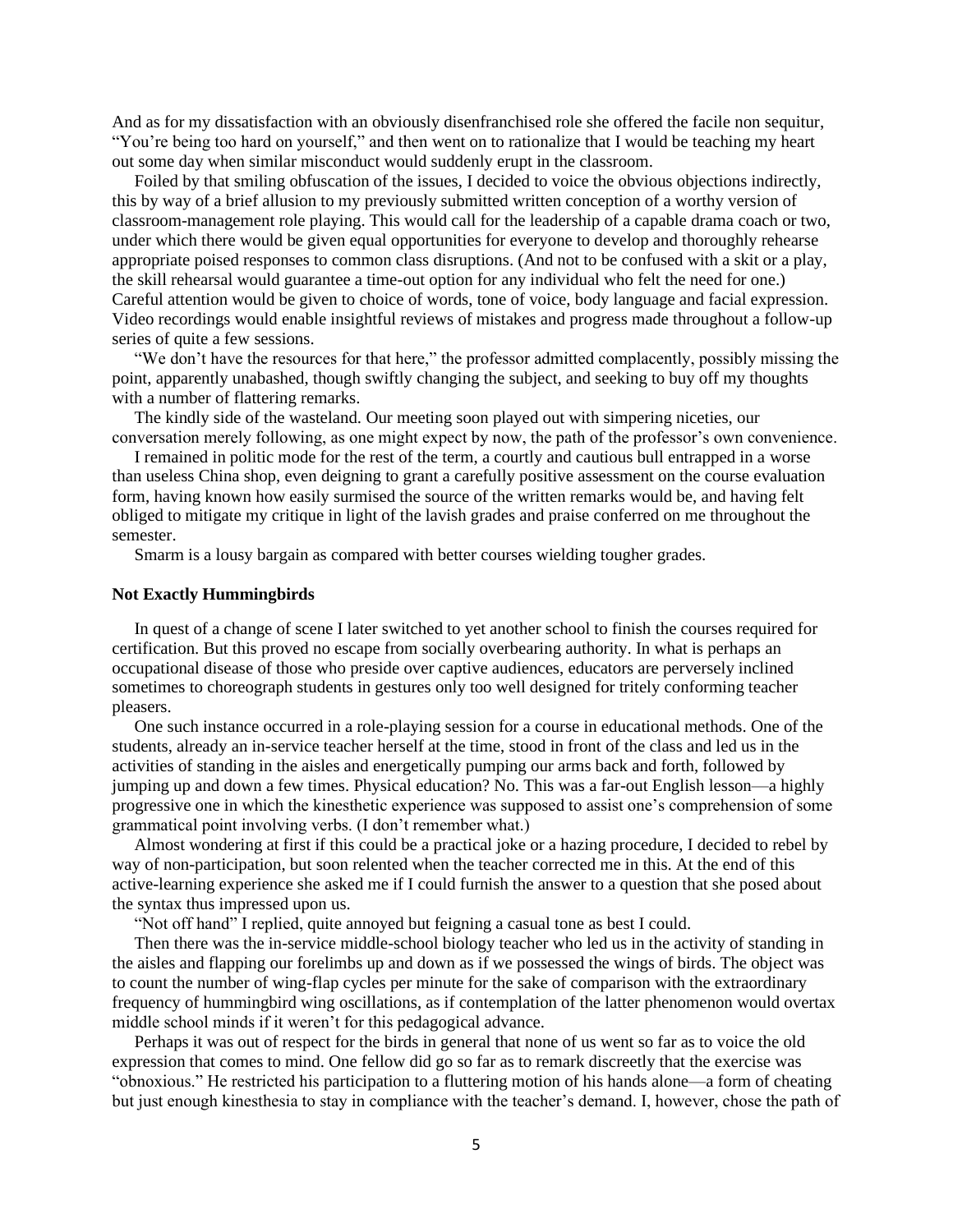And as for my dissatisfaction with an obviously disenfranchised role she offered the facile non sequitur, "You're being too hard on yourself," and then went on to rationalize that I would be teaching my heart out some day when similar misconduct would suddenly erupt in the classroom.

Foiled by that smiling obfuscation of the issues, I decided to voice the obvious objections indirectly, this by way of a brief allusion to my previously submitted written conception of a worthy version of classroom-management role playing. This would call for the leadership of a capable drama coach or two, under which there would be given equal opportunities for everyone to develop and thoroughly rehearse appropriate poised responses to common class disruptions. (And not to be confused with a skit or a play, the skill rehearsal would guarantee a time-out option for any individual who felt the need for one.) Careful attention would be given to choice of words, tone of voice, body language and facial expression. Video recordings would enable insightful reviews of mistakes and progress made throughout a follow-up series of quite a few sessions.

"We don't have the resources for that here," the professor admitted complacently, possibly missing the point, apparently unabashed, though swiftly changing the subject, and seeking to buy off my thoughts with a number of flattering remarks.

The kindly side of the wasteland. Our meeting soon played out with simpering niceties, our conversation merely following, as one might expect by now, the path of the professor's own convenience.

I remained in politic mode for the rest of the term, a courtly and cautious bull entrapped in a worse than useless China shop, even deigning to grant a carefully positive assessment on the course evaluation form, having known how easily surmised the source of the written remarks would be, and having felt obliged to mitigate my critique in light of the lavish grades and praise conferred on me throughout the semester.

Smarm is a lousy bargain as compared with better courses wielding tougher grades.

### **Not Exactly Hummingbirds**

In quest of a change of scene I later switched to yet another school to finish the courses required for certification. But this proved no escape from socially overbearing authority. In what is perhaps an occupational disease of those who preside over captive audiences, educators are perversely inclined sometimes to choreograph students in gestures only too well designed for tritely conforming teacher pleasers.

One such instance occurred in a role-playing session for a course in educational methods. One of the students, already an in-service teacher herself at the time, stood in front of the class and led us in the activities of standing in the aisles and energetically pumping our arms back and forth, followed by jumping up and down a few times. Physical education? No. This was a far-out English lesson—a highly progressive one in which the kinesthetic experience was supposed to assist one's comprehension of some grammatical point involving verbs. (I don't remember what.)

Almost wondering at first if this could be a practical joke or a hazing procedure, I decided to rebel by way of non-participation, but soon relented when the teacher corrected me in this. At the end of this active-learning experience she asked me if I could furnish the answer to a question that she posed about the syntax thus impressed upon us.

"Not off hand" I replied, quite annoyed but feigning a casual tone as best I could.

Then there was the in-service middle-school biology teacher who led us in the activity of standing in the aisles and flapping our forelimbs up and down as if we possessed the wings of birds. The object was to count the number of wing-flap cycles per minute for the sake of comparison with the extraordinary frequency of hummingbird wing oscillations, as if contemplation of the latter phenomenon would overtax middle school minds if it weren't for this pedagogical advance.

Perhaps it was out of respect for the birds in general that none of us went so far as to voice the old expression that comes to mind. One fellow did go so far as to remark discreetly that the exercise was "obnoxious." He restricted his participation to a fluttering motion of his hands alone—a form of cheating but just enough kinesthesia to stay in compliance with the teacher's demand. I, however, chose the path of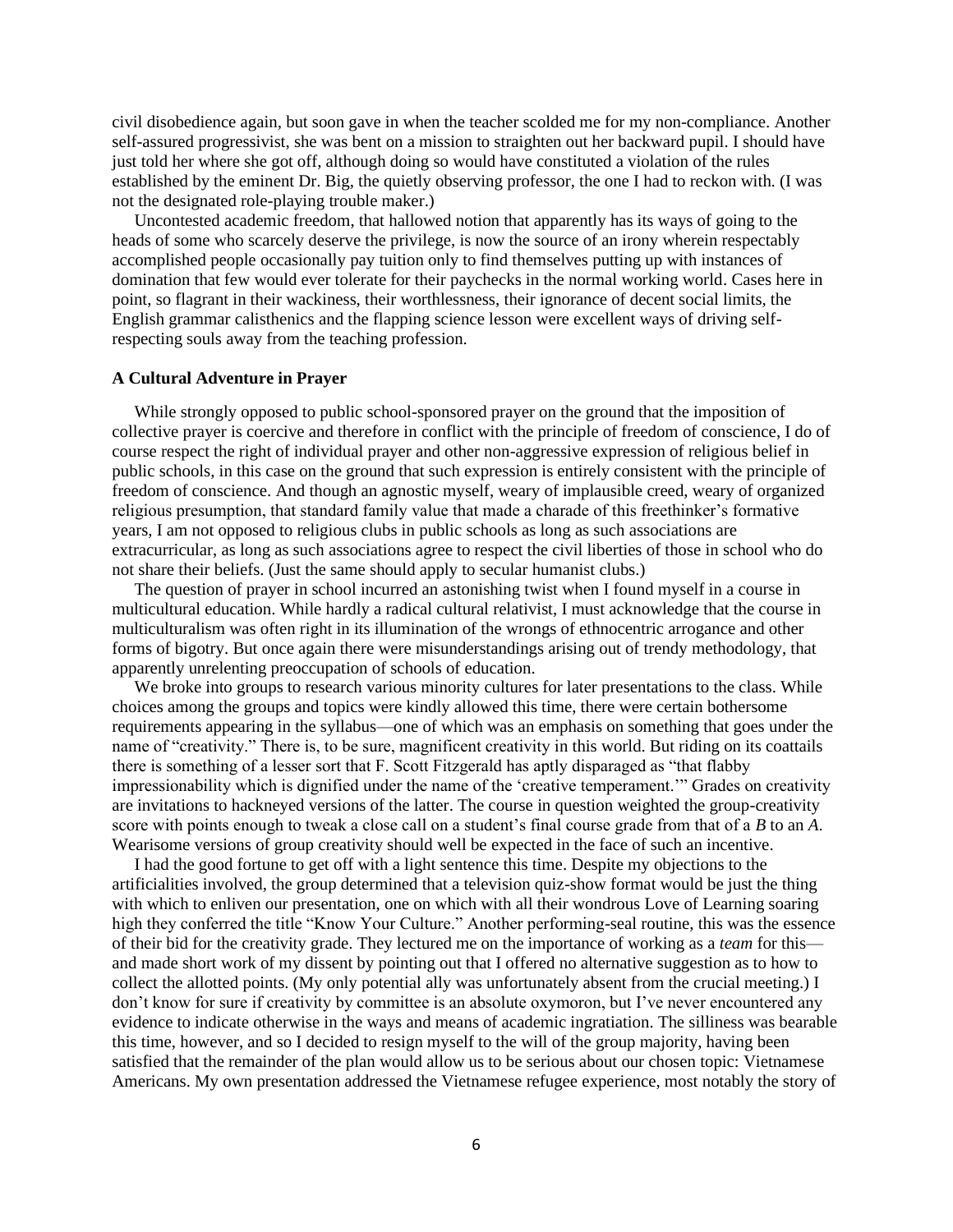civil disobedience again, but soon gave in when the teacher scolded me for my non-compliance. Another self-assured progressivist, she was bent on a mission to straighten out her backward pupil. I should have just told her where she got off, although doing so would have constituted a violation of the rules established by the eminent Dr. Big, the quietly observing professor, the one I had to reckon with. (I was not the designated role-playing trouble maker.)

Uncontested academic freedom, that hallowed notion that apparently has its ways of going to the heads of some who scarcely deserve the privilege, is now the source of an irony wherein respectably accomplished people occasionally pay tuition only to find themselves putting up with instances of domination that few would ever tolerate for their paychecks in the normal working world. Cases here in point, so flagrant in their wackiness, their worthlessness, their ignorance of decent social limits, the English grammar calisthenics and the flapping science lesson were excellent ways of driving selfrespecting souls away from the teaching profession.

### **A Cultural Adventure in Prayer**

While strongly opposed to public school-sponsored prayer on the ground that the imposition of collective prayer is coercive and therefore in conflict with the principle of freedom of conscience, I do of course respect the right of individual prayer and other non-aggressive expression of religious belief in public schools, in this case on the ground that such expression is entirely consistent with the principle of freedom of conscience. And though an agnostic myself, weary of implausible creed, weary of organized religious presumption, that standard family value that made a charade of this freethinker's formative years, I am not opposed to religious clubs in public schools as long as such associations are extracurricular, as long as such associations agree to respect the civil liberties of those in school who do not share their beliefs. (Just the same should apply to secular humanist clubs.)

The question of prayer in school incurred an astonishing twist when I found myself in a course in multicultural education. While hardly a radical cultural relativist, I must acknowledge that the course in multiculturalism was often right in its illumination of the wrongs of ethnocentric arrogance and other forms of bigotry. But once again there were misunderstandings arising out of trendy methodology, that apparently unrelenting preoccupation of schools of education.

We broke into groups to research various minority cultures for later presentations to the class. While choices among the groups and topics were kindly allowed this time, there were certain bothersome requirements appearing in the syllabus—one of which was an emphasis on something that goes under the name of "creativity." There is, to be sure, magnificent creativity in this world. But riding on its coattails there is something of a lesser sort that F. Scott Fitzgerald has aptly disparaged as "that flabby impressionability which is dignified under the name of the 'creative temperament.'" Grades on creativity are invitations to hackneyed versions of the latter. The course in question weighted the group-creativity score with points enough to tweak a close call on a student's final course grade from that of a *B* to an *A*. Wearisome versions of group creativity should well be expected in the face of such an incentive.

I had the good fortune to get off with a light sentence this time. Despite my objections to the artificialities involved, the group determined that a television quiz-show format would be just the thing with which to enliven our presentation, one on which with all their wondrous Love of Learning soaring high they conferred the title "Know Your Culture." Another performing-seal routine, this was the essence of their bid for the creativity grade. They lectured me on the importance of working as a *team* for this and made short work of my dissent by pointing out that I offered no alternative suggestion as to how to collect the allotted points. (My only potential ally was unfortunately absent from the crucial meeting.) I don't know for sure if creativity by committee is an absolute oxymoron, but I've never encountered any evidence to indicate otherwise in the ways and means of academic ingratiation. The silliness was bearable this time, however, and so I decided to resign myself to the will of the group majority, having been satisfied that the remainder of the plan would allow us to be serious about our chosen topic: Vietnamese Americans. My own presentation addressed the Vietnamese refugee experience, most notably the story of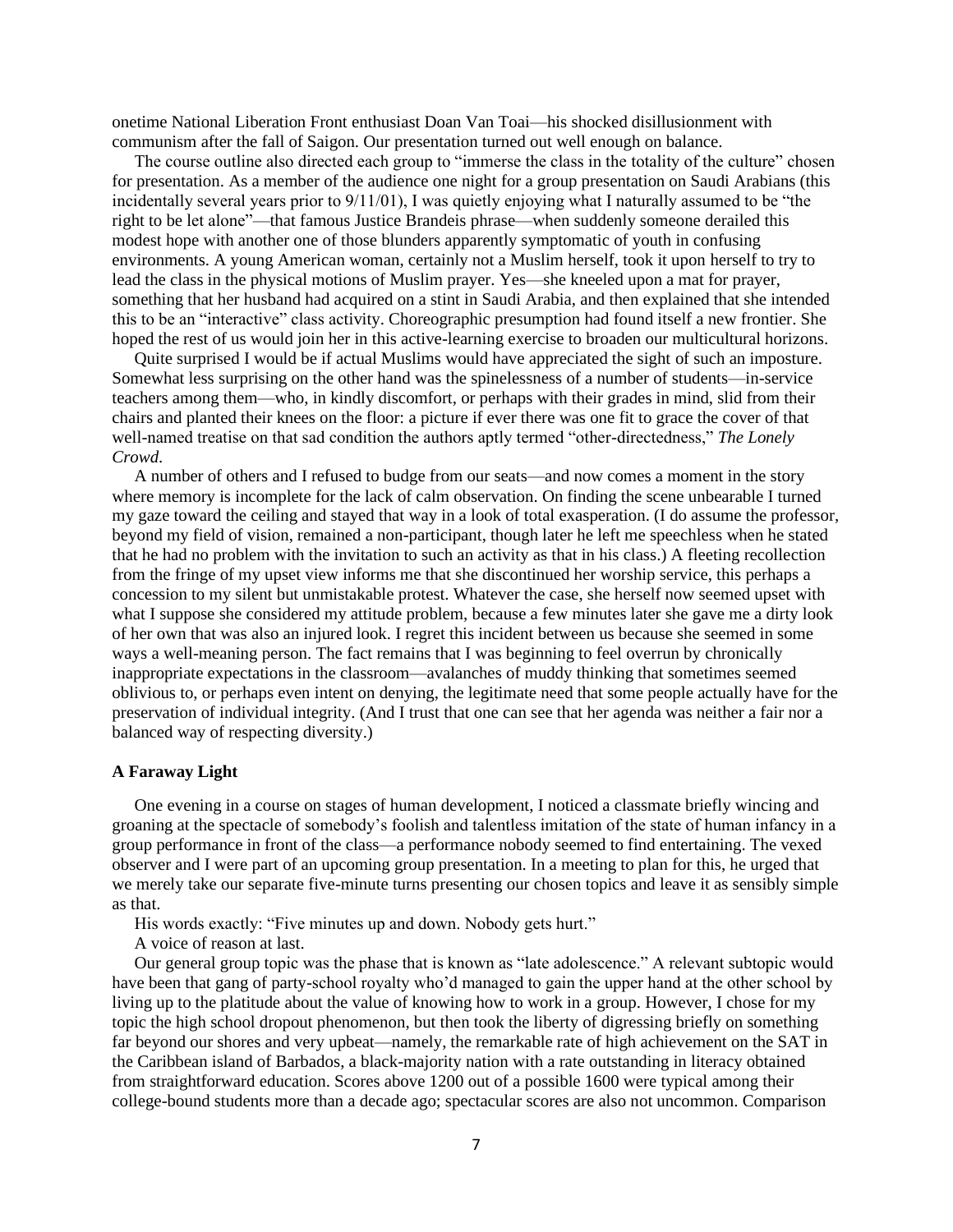onetime National Liberation Front enthusiast Doan Van Toai—his shocked disillusionment with communism after the fall of Saigon. Our presentation turned out well enough on balance.

The course outline also directed each group to "immerse the class in the totality of the culture" chosen for presentation. As a member of the audience one night for a group presentation on Saudi Arabians (this incidentally several years prior to 9/11/01), I was quietly enjoying what I naturally assumed to be "the right to be let alone"—that famous Justice Brandeis phrase—when suddenly someone derailed this modest hope with another one of those blunders apparently symptomatic of youth in confusing environments. A young American woman, certainly not a Muslim herself, took it upon herself to try to lead the class in the physical motions of Muslim prayer. Yes—she kneeled upon a mat for prayer, something that her husband had acquired on a stint in Saudi Arabia, and then explained that she intended this to be an "interactive" class activity. Choreographic presumption had found itself a new frontier. She hoped the rest of us would join her in this active-learning exercise to broaden our multicultural horizons.

Quite surprised I would be if actual Muslims would have appreciated the sight of such an imposture. Somewhat less surprising on the other hand was the spinelessness of a number of students—in-service teachers among them—who, in kindly discomfort, or perhaps with their grades in mind, slid from their chairs and planted their knees on the floor: a picture if ever there was one fit to grace the cover of that well-named treatise on that sad condition the authors aptly termed "other-directedness," *The Lonely Crowd*.

A number of others and I refused to budge from our seats—and now comes a moment in the story where memory is incomplete for the lack of calm observation. On finding the scene unbearable I turned my gaze toward the ceiling and stayed that way in a look of total exasperation. (I do assume the professor, beyond my field of vision, remained a non-participant, though later he left me speechless when he stated that he had no problem with the invitation to such an activity as that in his class.) A fleeting recollection from the fringe of my upset view informs me that she discontinued her worship service, this perhaps a concession to my silent but unmistakable protest. Whatever the case, she herself now seemed upset with what I suppose she considered my attitude problem, because a few minutes later she gave me a dirty look of her own that was also an injured look. I regret this incident between us because she seemed in some ways a well-meaning person. The fact remains that I was beginning to feel overrun by chronically inappropriate expectations in the classroom—avalanches of muddy thinking that sometimes seemed oblivious to, or perhaps even intent on denying, the legitimate need that some people actually have for the preservation of individual integrity. (And I trust that one can see that her agenda was neither a fair nor a balanced way of respecting diversity.)

## **A Faraway Light**

One evening in a course on stages of human development, I noticed a classmate briefly wincing and groaning at the spectacle of somebody's foolish and talentless imitation of the state of human infancy in a group performance in front of the class—a performance nobody seemed to find entertaining. The vexed observer and I were part of an upcoming group presentation. In a meeting to plan for this, he urged that we merely take our separate five-minute turns presenting our chosen topics and leave it as sensibly simple as that.

His words exactly: "Five minutes up and down. Nobody gets hurt."

A voice of reason at last.

Our general group topic was the phase that is known as "late adolescence." A relevant subtopic would have been that gang of party-school royalty who'd managed to gain the upper hand at the other school by living up to the platitude about the value of knowing how to work in a group. However, I chose for my topic the high school dropout phenomenon, but then took the liberty of digressing briefly on something far beyond our shores and very upbeat—namely, the remarkable rate of high achievement on the SAT in the Caribbean island of Barbados, a black-majority nation with a rate outstanding in literacy obtained from straightforward education. Scores above 1200 out of a possible 1600 were typical among their college-bound students more than a decade ago; spectacular scores are also not uncommon. Comparison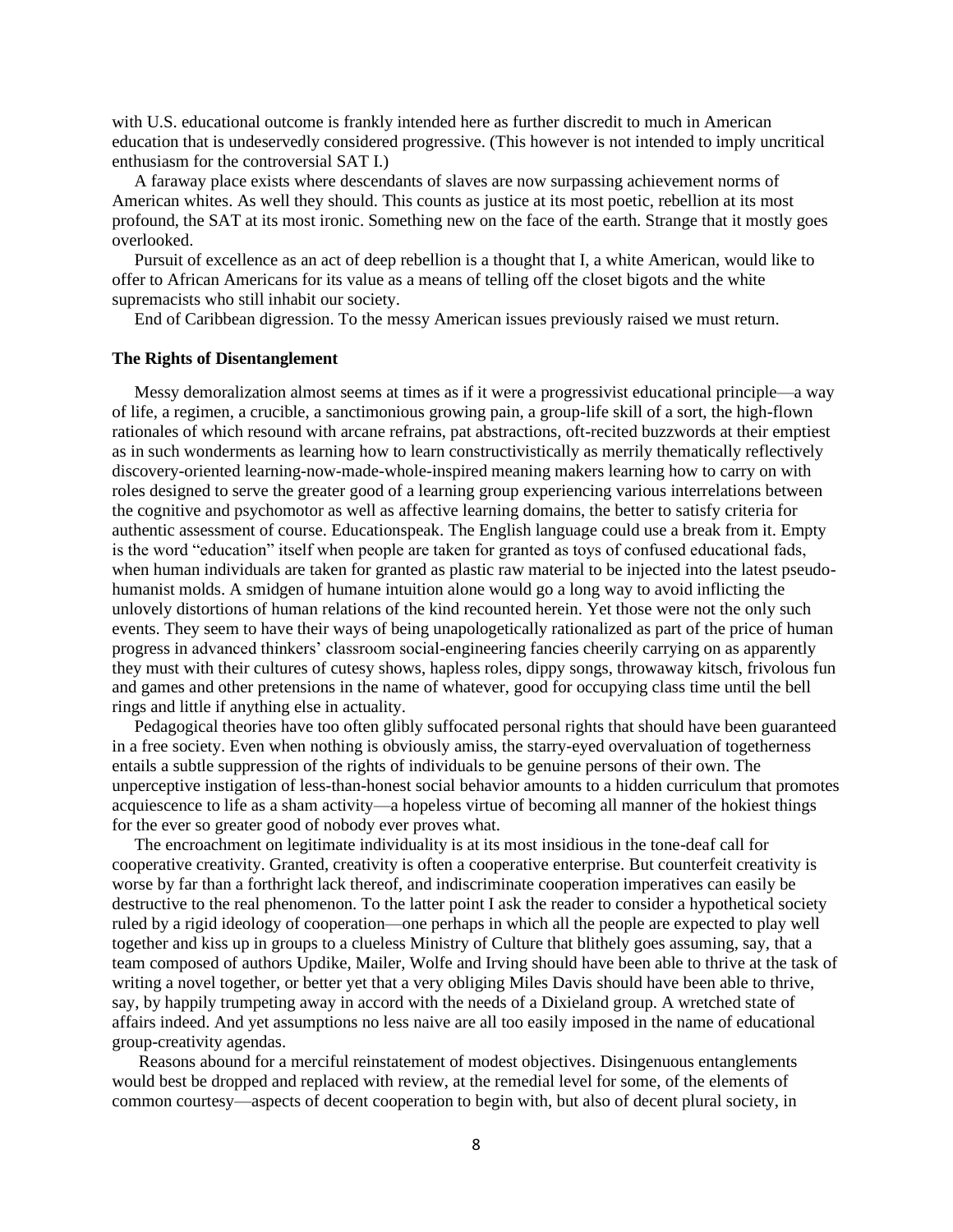with U.S. educational outcome is frankly intended here as further discredit to much in American education that is undeservedly considered progressive. (This however is not intended to imply uncritical enthusiasm for the controversial SAT I.)

A faraway place exists where descendants of slaves are now surpassing achievement norms of American whites. As well they should. This counts as justice at its most poetic, rebellion at its most profound, the SAT at its most ironic. Something new on the face of the earth. Strange that it mostly goes overlooked.

Pursuit of excellence as an act of deep rebellion is a thought that I, a white American, would like to offer to African Americans for its value as a means of telling off the closet bigots and the white supremacists who still inhabit our society.

End of Caribbean digression. To the messy American issues previously raised we must return.

# **The Rights of Disentanglement**

Messy demoralization almost seems at times as if it were a progressivist educational principle—a way of life, a regimen, a crucible, a sanctimonious growing pain, a group-life skill of a sort, the high-flown rationales of which resound with arcane refrains, pat abstractions, oft-recited buzzwords at their emptiest as in such wonderments as learning how to learn constructivistically as merrily thematically reflectively discovery-oriented learning-now-made-whole-inspired meaning makers learning how to carry on with roles designed to serve the greater good of a learning group experiencing various interrelations between the cognitive and psychomotor as well as affective learning domains, the better to satisfy criteria for authentic assessment of course. Educationspeak. The English language could use a break from it. Empty is the word "education" itself when people are taken for granted as toys of confused educational fads, when human individuals are taken for granted as plastic raw material to be injected into the latest pseudohumanist molds. A smidgen of humane intuition alone would go a long way to avoid inflicting the unlovely distortions of human relations of the kind recounted herein. Yet those were not the only such events. They seem to have their ways of being unapologetically rationalized as part of the price of human progress in advanced thinkers' classroom social-engineering fancies cheerily carrying on as apparently they must with their cultures of cutesy shows, hapless roles, dippy songs, throwaway kitsch, frivolous fun and games and other pretensions in the name of whatever, good for occupying class time until the bell rings and little if anything else in actuality.

Pedagogical theories have too often glibly suffocated personal rights that should have been guaranteed in a free society. Even when nothing is obviously amiss, the starry-eyed overvaluation of togetherness entails a subtle suppression of the rights of individuals to be genuine persons of their own. The unperceptive instigation of less-than-honest social behavior amounts to a hidden curriculum that promotes acquiescence to life as a sham activity—a hopeless virtue of becoming all manner of the hokiest things for the ever so greater good of nobody ever proves what.

The encroachment on legitimate individuality is at its most insidious in the tone-deaf call for cooperative creativity. Granted, creativity is often a cooperative enterprise. But counterfeit creativity is worse by far than a forthright lack thereof, and indiscriminate cooperation imperatives can easily be destructive to the real phenomenon. To the latter point I ask the reader to consider a hypothetical society ruled by a rigid ideology of cooperation—one perhaps in which all the people are expected to play well together and kiss up in groups to a clueless Ministry of Culture that blithely goes assuming, say, that a team composed of authors Updike, Mailer, Wolfe and Irving should have been able to thrive at the task of writing a novel together, or better yet that a very obliging Miles Davis should have been able to thrive, say, by happily trumpeting away in accord with the needs of a Dixieland group. A wretched state of affairs indeed. And yet assumptions no less naive are all too easily imposed in the name of educational group-creativity agendas.

Reasons abound for a merciful reinstatement of modest objectives. Disingenuous entanglements would best be dropped and replaced with review, at the remedial level for some, of the elements of common courtesy—aspects of decent cooperation to begin with, but also of decent plural society, in